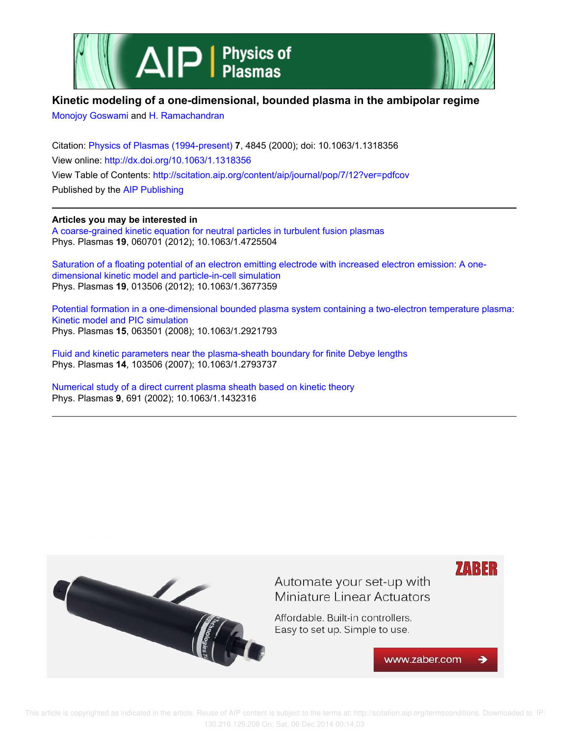



## **Kinetic modeling of a one-dimensional, bounded plasma in the ambipolar regime**

Monojoy Goswami and H. Ramachandran

Citation: Physics of Plasmas (1994-present) **7**, 4845 (2000); doi: 10.1063/1.1318356 View online: http://dx.doi.org/10.1063/1.1318356 View Table of Contents: http://scitation.aip.org/content/aip/journal/pop/7/12?ver=pdfcov Published by the AIP Publishing

**Articles you may be interested in**

A coarse-grained kinetic equation for neutral particles in turbulent fusion plasmas Phys. Plasmas **19**, 060701 (2012); 10.1063/1.4725504

Saturation of a floating potential of an electron emitting electrode with increased electron emission: A onedimensional kinetic model and particle-in-cell simulation Phys. Plasmas **19**, 013506 (2012); 10.1063/1.3677359

Potential formation in a one-dimensional bounded plasma system containing a two-electron temperature plasma: Kinetic model and PIC simulation Phys. Plasmas **15**, 063501 (2008); 10.1063/1.2921793

Fluid and kinetic parameters near the plasma-sheath boundary for finite Debye lengths Phys. Plasmas **14**, 103506 (2007); 10.1063/1.2793737

Numerical study of a direct current plasma sheath based on kinetic theory Phys. Plasmas **9**, 691 (2002); 10.1063/1.1432316



 This article is copyrighted as indicated in the article. Reuse of AIP content is subject to the terms at: http://scitation.aip.org/termsconditions. Downloaded to IP: 130.216.129.208 On: Sat, 06 Dec 2014 00:14:03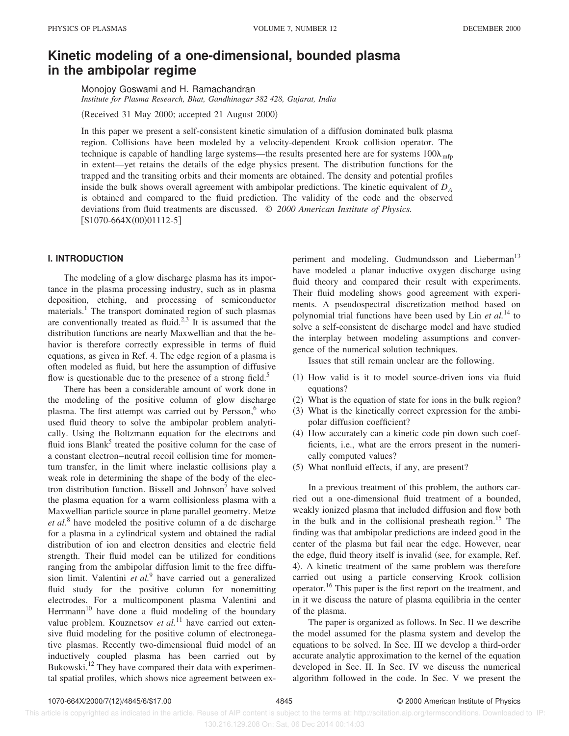# **Kinetic modeling of a one-dimensional, bounded plasma in the ambipolar regime**

Monojoy Goswami and H. Ramachandran *Institute for Plasma Research, Bhat, Gandhinagar 382 428, Gujarat, India*

 $(Received 31 May 2000; accepted 21 August 2000)$ 

In this paper we present a self-consistent kinetic simulation of a diffusion dominated bulk plasma region. Collisions have been modeled by a velocity-dependent Krook collision operator. The technique is capable of handling large systems—the results presented here are for systems  $100\lambda_{\text{mfp}}$ in extent—yet retains the details of the edge physics present. The distribution functions for the trapped and the transiting orbits and their moments are obtained. The density and potential profiles inside the bulk shows overall agreement with ambipolar predictions. The kinetic equivalent of *D<sup>A</sup>* is obtained and compared to the fluid prediction. The validity of the code and the observed deviations from fluid treatments are discussed. © *2000 American Institute of Physics.*  $[S1070-664X(00)01112-5]$ 

### **I. INTRODUCTION**

The modeling of a glow discharge plasma has its importance in the plasma processing industry, such as in plasma deposition, etching, and processing of semiconductor materials.<sup>1</sup> The transport dominated region of such plasmas are conventionally treated as fluid.<sup>2,3</sup> It is assumed that the distribution functions are nearly Maxwellian and that the behavior is therefore correctly expressible in terms of fluid equations, as given in Ref. 4. The edge region of a plasma is often modeled as fluid, but here the assumption of diffusive flow is questionable due to the presence of a strong field.<sup>5</sup>

There has been a considerable amount of work done in the modeling of the positive column of glow discharge plasma. The first attempt was carried out by Persson,<sup>6</sup> who used fluid theory to solve the ambipolar problem analytically. Using the Boltzmann equation for the electrons and fluid ions Blank<sup>5</sup> treated the positive column for the case of a constant electron–neutral recoil collision time for momentum transfer, in the limit where inelastic collisions play a weak role in determining the shape of the body of the electron distribution function. Bissell and Johnson<sup>7</sup> have solved the plasma equation for a warm collisionless plasma with a Maxwellian particle source in plane parallel geometry. Metze *et al.*<sup>8</sup> have modeled the positive column of a dc discharge for a plasma in a cylindrical system and obtained the radial distribution of ion and electron densities and electric field strength. Their fluid model can be utilized for conditions ranging from the ambipolar diffusion limit to the free diffusion limit. Valentini *et al.*<sup>9</sup> have carried out a generalized fluid study for the positive column for nonemitting electrodes. For a multicomponent plasma Valentini and Herrmann<sup>10</sup> have done a fluid modeling of the boundary value problem. Kouznetsov *et al.*<sup>11</sup> have carried out extensive fluid modeling for the positive column of electronegative plasmas. Recently two-dimensional fluid model of an inductively coupled plasma has been carried out by Bukowski.<sup>12</sup> They have compared their data with experimental spatial profiles, which shows nice agreement between experiment and modeling. Gudmundsson and Lieberman<sup>13</sup> have modeled a planar inductive oxygen discharge using fluid theory and compared their result with experiments. Their fluid modeling shows good agreement with experiments. A pseudospectral discretization method based on polynomial trial functions have been used by Lin *et al.*<sup>14</sup> to solve a self-consistent dc discharge model and have studied the interplay between modeling assumptions and convergence of the numerical solution techniques.

Issues that still remain unclear are the following.

- $(1)$  How valid is it to model source-driven ions via fluid equations?
- $(2)$  What is the equation of state for ions in the bulk region?
- (3) What is the kinetically correct expression for the ambipolar diffusion coefficient?
- $(4)$  How accurately can a kinetic code pin down such coefficients, i.e., what are the errors present in the numerically computed values?
- (5) What nonfluid effects, if any, are present?

In a previous treatment of this problem, the authors carried out a one-dimensional fluid treatment of a bounded, weakly ionized plasma that included diffusion and flow both in the bulk and in the collisional presheath region.<sup>15</sup> The finding was that ambipolar predictions are indeed good in the center of the plasma but fail near the edge. However, near the edge, fluid theory itself is invalid (see, for example, Ref. 4). A kinetic treatment of the same problem was therefore carried out using a particle conserving Krook collision operator.<sup>16</sup> This paper is the first report on the treatment, and in it we discuss the nature of plasma equilibria in the center of the plasma.

The paper is organized as follows. In Sec. II we describe the model assumed for the plasma system and develop the equations to be solved. In Sec. III we develop a third-order accurate analytic approximation to the kernel of the equation developed in Sec. II. In Sec. IV we discuss the numerical algorithm followed in the code. In Sec. V we present the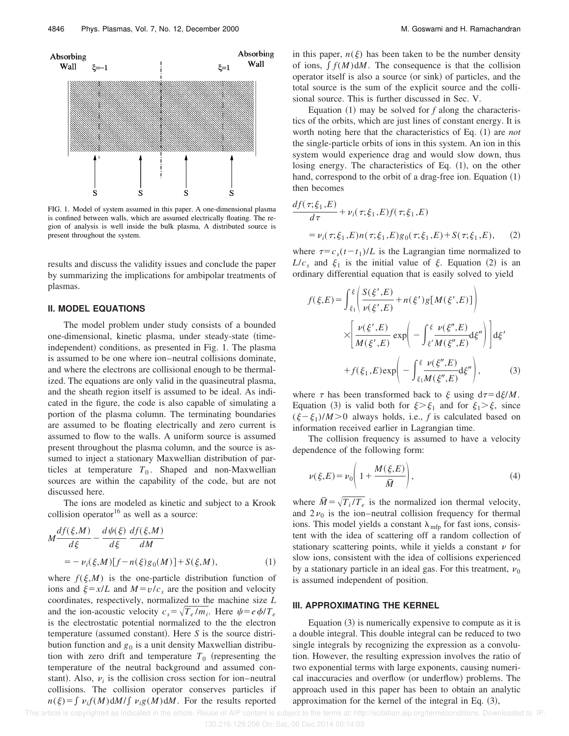

FIG. 1. Model of system assumed in this paper. A one-dimensional plasma is confined between walls, which are assumed electrically floating. The region of analysis is well inside the bulk plasma, A distributed source is present throughout the system.

results and discuss the validity issues and conclude the paper by summarizing the implications for ambipolar treatments of plasmas.

#### **II. MODEL EQUATIONS**

The model problem under study consists of a bounded one-dimensional, kinetic plasma, under steady-state (timeindependent) conditions, as presented in Fig. 1. The plasma is assumed to be one where ion–neutral collisions dominate, and where the electrons are collisional enough to be thermalized. The equations are only valid in the quasineutral plasma, and the sheath region itself is assumed to be ideal. As indicated in the figure, the code is also capable of simulating a portion of the plasma column. The terminating boundaries are assumed to be floating electrically and zero current is assumed to flow to the walls. A uniform source is assumed present throughout the plasma column, and the source is assumed to inject a stationary Maxwellian distribution of particles at temperature  $T_0$ . Shaped and non-Maxwellian sources are within the capability of the code, but are not discussed here.

The ions are modeled as kinetic and subject to a Krook collision operator $16$  as well as a source:

$$
M\frac{df(\xi,M)}{d\xi} - \frac{d\psi(\xi)}{d\xi} \frac{df(\xi,M)}{dM}
$$
  
= 
$$
-\nu_i(\xi,M)[f - n(\xi)g_0(M)] + S(\xi,M),
$$
 (1)

where  $f(\xi, M)$  is the one-particle distribution function of ions and  $\xi = x/L$  and  $M = v/c_s$  are the position and velocity coordinates, respectively, normalized to the machine size *L* and the ion-acoustic velocity  $c_s = \sqrt{T_e/m_i}$ . Here  $\psi = e \phi/T_e$ is the electrostatic potential normalized to the the electron temperature (assumed constant). Here  $S$  is the source distribution function and  $g_0$  is a unit density Maxwellian distribution with zero drift and temperature  $T_0$  (representing the temperature of the neutral background and assumed constant). Also,  $v_i$  is the collision cross section for ion–neutral collisions. The collision operator conserves particles if  $n(\xi) = \int v_i f(M) dM / \int v_i g(M) dM$ . For the results reported in this paper,  $n(\xi)$  has been taken to be the number density of ions,  $\int f(M) dM$ . The consequence is that the collision operator itself is also a source (or sink) of particles, and the total source is the sum of the explicit source and the collisional source. This is further discussed in Sec. V.

Equation  $(1)$  may be solved for f along the characteristics of the orbits, which are just lines of constant energy. It is worth noting here that the characteristics of Eq. (1) are *not* the single-particle orbits of ions in this system. An ion in this system would experience drag and would slow down, thus losing energy. The characteristics of Eq.  $(1)$ , on the other hand, correspond to the orbit of a drag-free ion. Equation  $(1)$ then becomes

$$
\frac{df(\tau;\xi_1,E)}{d\tau} + \nu_i(\tau;\xi_1,E)f(\tau;\xi_1,E)
$$
  
=  $\nu_i(\tau;\xi_1,E)n(\tau;\xi_1,E)g_0(\tau;\xi_1,E) + S(\tau;\xi_1,E),$  (2)

where  $\tau = c_s(t - t_1)/L$  is the Lagrangian time normalized to  $L/c_s$  and  $\xi_1$  is the initial value of  $\xi$ . Equation (2) is an ordinary differential equation that is easily solved to yield

$$
f(\xi, E) = \int_{\xi_1}^{\xi} \left( \frac{S(\xi', E)}{\nu(\xi', E)} + n(\xi') g[M(\xi', E)] \right)
$$

$$
\times \left[ \frac{\nu(\xi', E)}{M(\xi', E)} \exp\left(-\int_{\xi'}^{\xi} \frac{\nu(\xi'', E)}{M(\xi'', E)} d\xi''\right) \right] d\xi'
$$

$$
+ f(\xi_1, E) \exp\left(-\int_{\xi_1}^{\xi} \frac{\nu(\xi'', E)}{M(\xi'', E)} d\xi''\right), \tag{3}
$$

where  $\tau$  has been transformed back to  $\xi$  using  $d\tau = d\xi/M$ . Equation (3) is valid both for  $\xi > \xi_1$  and for  $\xi_1 > \xi$ , since  $(\xi - \xi_1)/M > 0$  always holds, i.e., *f* is calculated based on information received earlier in Lagrangian time.

The collision frequency is assumed to have a velocity dependence of the following form:

$$
\nu(\xi, E) = \nu_0 \left( 1 + \frac{M(\xi, E)}{\bar{M}} \right),\tag{4}
$$

where  $\overline{M} = \sqrt{T_i/T_e}$  is the normalized ion thermal velocity, and  $2\nu_0$  is the ion–neutral collision frequency for thermal ions. This model yields a constant  $\lambda_{\text{mfp}}$  for fast ions, consistent with the idea of scattering off a random collection of stationary scattering points, while it yields a constant  $\nu$  for slow ions, consistent with the idea of collisions experienced by a stationary particle in an ideal gas. For this treatment,  $\nu_0$ is assumed independent of position.

#### **III. APPROXIMATING THE KERNEL**

Equation  $(3)$  is numerically expensive to compute as it is a double integral. This double integral can be reduced to two single integrals by recognizing the expression as a convolution. However, the resulting expression involves the ratio of two exponential terms with large exponents, causing numerical inaccuracies and overflow (or underflow) problems. The approach used in this paper has been to obtain an analytic approximation for the kernel of the integral in Eq.  $(3)$ ,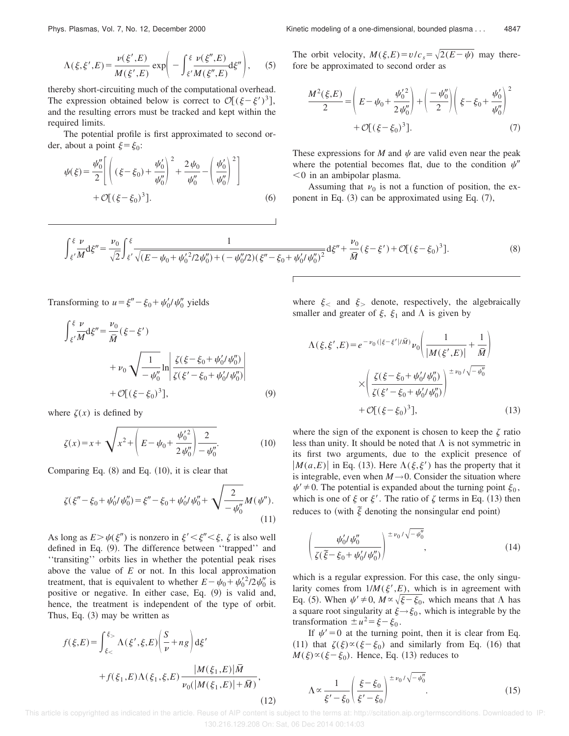$$
\Lambda(\xi,\xi',E) = \frac{\nu(\xi',E)}{M(\xi',E)} \exp\left(-\int_{\xi'}^{\xi} \frac{\nu(\xi'',E)}{M(\xi'',E)} d\xi''\right),\qquad(5)
$$

thereby short-circuiting much of the computational overhead. The expression obtained below is correct to  $\mathcal{O}[(\xi - \xi')^3]$ , and the resulting errors must be tracked and kept within the required limits.

The potential profile is first approximated to second order, about a point  $\xi = \xi_0$ :

$$
\psi(\xi) = \frac{\psi_0''}{2} \left[ \left( (\xi - \xi_0) + \frac{\psi_0'}{\psi_0''} \right)^2 + \frac{2\psi_0}{\psi_0''} - \left( \frac{\psi_0'}{\psi_0''} \right)^2 \right] + \mathcal{O}[(\xi - \xi_0)^3].
$$
\n(6)

The orbit velocity,  $M(\xi, E) = v/c_s = \sqrt{2(E - \psi)}$  may therefore be approximated to second order as

$$
\frac{M^{2}(\xi, E)}{2} = \left( E - \psi_{0} + \frac{\psi_{0}'^{2}}{2 \psi_{0}''} \right) + \left( \frac{-\psi_{0}''}{2} \right) \left( \xi - \xi_{0} + \frac{\psi_{0}'}{\psi_{0}''} \right)^{2} + \mathcal{O}[(\xi - \xi_{0})^{3}].
$$
\n(7)

These expressions for *M* and  $\psi$  are valid even near the peak where the potential becomes flat, due to the condition  $\psi''$  $<$ 0 in an ambipolar plasma.

Assuming that  $\nu_0$  is not a function of position, the exponent in Eq.  $(3)$  can be approximated using Eq.  $(7)$ ,

$$
\int_{\xi'}^{\xi} \frac{\nu}{M} d\xi'' = \frac{\nu_0}{\sqrt{2}} \int_{\xi'}^{\xi} \frac{1}{\sqrt{(E - \psi_0 + \psi_0'^2 / 2\psi_0'') + (-\psi_0''/2)(\xi'' - \xi_0 + \psi_0' / \psi_0'')^2}} d\xi'' + \frac{\nu_0}{\bar{M}} (\xi - \xi') + \mathcal{O}[(\xi - \xi_0)^3].
$$
\n(8)

Transforming to  $u = \xi'' - \xi_0 + \psi'_0 / \psi''_0$  yields

$$
\int_{\xi'}^{\xi} \frac{\nu}{M} d\xi'' = \frac{\nu_0}{\overline{M}} (\xi - \xi')
$$
  
+  $\nu_0 \sqrt{\frac{1}{-\psi_0''}} \ln \left| \frac{\zeta(\xi - \xi_0 + \psi_0'/\psi_0'')}{\zeta(\xi' - \xi_0 + \psi_0'/\psi_0'')} \right|$   
+  $\mathcal{O}[(\xi - \xi_0)^3],$  (9)

where  $\zeta(x)$  is defined by

$$
\zeta(x) = x + \sqrt{x^2 + \left(E - \psi_0 + \frac{\psi_0^2}{2\psi_0''}\right) - \frac{2}{\psi_0''}}.
$$
 (10)

Comparing Eq.  $(8)$  and Eq.  $(10)$ , it is clear that

$$
\zeta(\xi'' - \xi_0 + \psi'_0/\psi''_0) = \xi'' - \xi_0 + \psi'_0/\psi''_0 + \sqrt{\frac{2}{-\psi''_0}}M(\psi'').
$$
\n(11)

As long as  $E > \psi(\xi'')$  is nonzero in  $\xi' < \xi'' < \xi$ ,  $\zeta$  is also well defined in Eq. (9). The difference between "trapped" and ''transiting'' orbits lies in whether the potential peak rises above the value of *E* or not. In this local approximation treatment, that is equivalent to whether  $E - \psi_0 + \psi_0^2/2\psi_0^{\prime\prime}$  is positive or negative. In either case, Eq.  $(9)$  is valid and, hence, the treatment is independent of the type of orbit. Thus, Eq.  $(3)$  may be written as

$$
f(\xi, E) = \int_{\xi_{<}}^{\xi_{>}} \Lambda(\xi', \xi, E) \left( \frac{S}{\nu} + ng \right) d\xi'
$$
  
+  $f(\xi_{1}, E) \Lambda(\xi_{1}, \xi, E) \frac{|M(\xi_{1}, E)|\overline{M}}{\nu_{0}(|M(\xi_{1}, E)| + \overline{M})},$  (12)

where  $\xi$  and  $\xi$  denote, respectively, the algebraically smaller and greater of  $\xi$ ,  $\xi_1$  and  $\Lambda$  is given by

$$
\Lambda(\xi, \xi', E) = e^{-\nu_0(|\xi - \xi'|/\bar{M})} \nu_0 \left( \frac{1}{|M(\xi', E)|} + \frac{1}{\bar{M}} \right)
$$

$$
\times \left( \frac{\xi(\xi - \xi_0 + \psi'_0/\psi''_0)}{\xi(\xi' - \xi_0 + \psi'_0/\psi''_0)} \right)^{\pm \nu_0/\sqrt{-\psi''_0}}
$$

$$
+ \mathcal{O}[(\xi - \xi_0)^3], \tag{13}
$$

where the sign of the exponent is chosen to keep the  $\zeta$  ratio less than unity. It should be noted that  $\Lambda$  is not symmetric in its first two arguments, due to the explicit presence of  $|M(a,E)|$  in Eq. (13). Here  $\Lambda(\xi,\xi')$  has the property that it is integrable, even when  $M \rightarrow 0$ . Consider the situation where  $\psi' \neq 0$ . The potential is expanded about the turning point  $\xi_0$ , which is one of  $\xi$  or  $\xi'$ . The ratio of  $\zeta$  terms in Eq. (13) then reduces to (with  $\tilde{\xi}$  denoting the nonsingular end point)

$$
\left(\frac{\psi_0' / \psi_0''}{\zeta(\tilde{\xi} - \xi_0 + \psi_0' / \psi_0'')}\right)^{\pm \nu_0 / \sqrt{-\psi_0''}},
$$
\n(14)

which is a regular expression. For this case, the only singularity comes from  $1/M(\xi',E)$ , which is in agreement with Eq. (5). When  $\psi' \neq 0$ ,  $M \propto \sqrt{\xi - \xi_0}$ , which means that  $\Lambda$  has a square root singularity at  $\xi \rightarrow \xi_0$ , which is integrable by the transformation  $\pm u^2 = \xi - \xi_0$ .

If  $\psi$ <sup>'</sup> = 0 at the turning point, then it is clear from Eq. (11) that  $\zeta(\xi) \propto (\xi - \xi_0)$  and similarly from Eq. (16) that  $M(\xi) \propto (\xi - \xi_0)$ . Hence, Eq. (13) reduces to

$$
\Lambda \propto \frac{1}{\xi' - \xi_0} \left( \frac{\xi - \xi_0}{\xi' - \xi_0} \right)^{\pm \nu_0 / \sqrt{-\psi_0''}}.
$$
\n(15)

 This article is copyrighted as indicated in the article. Reuse of AIP content is subject to the terms at: http://scitation.aip.org/termsconditions. Downloaded to IP: 130.216.129.208 On: Sat, 06 Dec 2014 00:14:03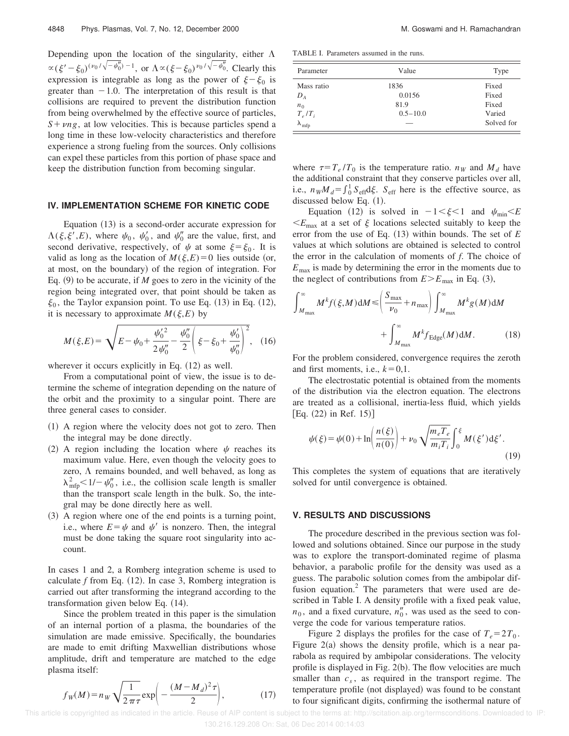Depending upon the location of the singularity, either  $\Lambda$  $\propto (\xi'-\xi_0)^{(\nu_0/\sqrt{-\psi_0''})-1}$ , or  $\Lambda \propto (\xi-\xi_0)^{\nu_0/\sqrt{-\psi_0''}}$ . Clearly this expression is integrable as long as the power of  $\xi - \xi_0$  is greater than  $-1.0$ . The interpretation of this result is that collisions are required to prevent the distribution function from being overwhelmed by the effective source of particles,  $S+ \nu n g$ , at low velocities. This is because particles spend a long time in these low-velocity characteristics and therefore experience a strong fueling from the sources. Only collisions can expel these particles from this portion of phase space and keep the distribution function from becoming singular.

#### **IV. IMPLEMENTATION SCHEME FOR KINETIC CODE**

Equation  $(13)$  is a second-order accurate expression for  $\Lambda(\xi,\xi',E)$ , where  $\psi_0$ ,  $\psi'_0$ , and  $\psi''_0$  are the value, first, and second derivative, respectively, of  $\psi$  at some  $\xi = \xi_0$ . It is valid as long as the location of  $M(\xi, E) = 0$  lies outside (or, at most, on the boundary) of the region of integration. For Eq.  $(9)$  to be accurate, if *M* goes to zero in the vicinity of the region being integrated over, that point should be taken as  $\xi_0$ , the Taylor expansion point. To use Eq. (13) in Eq. (12), it is necessary to approximate  $M(\xi, E)$  by

$$
M(\xi, E) = \sqrt{E - \psi_0 + \frac{\psi_0'^2}{2\psi_0''} - \frac{\psi_0''}{2} \left(\xi - \xi_0 + \frac{\psi_0'}{\psi_0''}\right)^2},
$$
 (16)

wherever it occurs explicitly in Eq.  $(12)$  as well.

From a computational point of view, the issue is to determine the scheme of integration depending on the nature of the orbit and the proximity to a singular point. There are three general cases to consider.

- $(1)$  A region where the velocity does not got to zero. Then the integral may be done directly.
- (2) A region including the location where  $\psi$  reaches its maximum value. Here, even though the velocity goes to zero,  $\Lambda$  remains bounded, and well behaved, as long as  $\lambda_{\text{mfp}}^2$  < 1/-  $\psi_0''$ , i.e., the collision scale length is smaller than the transport scale length in the bulk. So, the integral may be done directly here as well.
- $(3)$  A region where one of the end points is a turning point, i.e., where  $E = \psi$  and  $\psi'$  is nonzero. Then, the integral must be done taking the square root singularity into account.

In cases 1 and 2, a Romberg integration scheme is used to calculate  $f$  from Eq.  $(12)$ . In case 3, Romberg integration is carried out after transforming the integrand according to the transformation given below Eq.  $(14)$ .

Since the problem treated in this paper is the simulation of an internal portion of a plasma, the boundaries of the simulation are made emissive. Specifically, the boundaries are made to emit drifting Maxwellian distributions whose amplitude, drift and temperature are matched to the edge plasma itself:

$$
f_{W}(M) = n_{W} \sqrt{\frac{1}{2 \pi \tau}} \exp\left(-\frac{(M - M_{d})^{2} \tau}{2}\right),
$$
 (17)

TABLE I. Parameters assumed in the runs.

| Parameter              | Value        | Type       |
|------------------------|--------------|------------|
| Mass ratio             | 1836         | Fixed      |
| $D_A$                  | 0.0156       | Fixed      |
| $n_0$                  | 81.9         | Fixed      |
| $T_e/T_i$              | $0.5 - 10.0$ | Varied     |
| $\lambda_{\text{mfp}}$ |              | Solved for |

where  $\tau = T_e / T_0$  is the temperature ratio.  $n_W$  and  $M_d$  have the additional constraint that they conserve particles over all, i.e.,  $n_W M_d = \int_0^1 S_{\text{eff}} d\xi$ .  $S_{\text{eff}}$  here is the effective source, as discussed below Eq.  $(1)$ .

Equation (12) is solved in  $-1 < \xi < 1$  and  $\psi_{\text{min}} < E$  $\leq E_{\text{max}}$  at a set of  $\xi$  locations selected suitably to keep the error from the use of Eq.  $(13)$  within bounds. The set of *E* values at which solutions are obtained is selected to control the error in the calculation of moments of *f*. The choice of  $E_{\text{max}}$  is made by determining the error in the moments due to the neglect of contributions from  $E>E_{\text{max}}$  in Eq. (3),

$$
\int_{M_{\max}}^{\infty} M^{k} f(\xi, M) dM \le \left( \frac{S_{\max}}{\nu_{0}} + n_{\max} \right) \int_{M_{\max}}^{\infty} M^{k} g(M) dM + \int_{M_{\max}}^{\infty} M^{k} f_{\text{Edge}}(M) dM. \tag{18}
$$

For the problem considered, convergence requires the zeroth and first moments, i.e.,  $k=0,1$ .

The electrostatic potential is obtained from the moments of the distribution via the electron equation. The electrons are treated as a collisional, inertia-less fluid, which yields  $[Eq. (22) in Ref. 15]$ 

$$
\psi(\xi) = \psi(0) + \ln\left(\frac{n(\xi)}{n(0)}\right) + \nu_0 \sqrt{\frac{m_e T_e}{m_i T_i}} \int_0^{\xi} M(\xi') d\xi'.
$$
\n(19)

This completes the system of equations that are iteratively solved for until convergence is obtained.

#### **V. RESULTS AND DISCUSSIONS**

The procedure described in the previous section was followed and solutions obtained. Since our purpose in the study was to explore the transport-dominated regime of plasma behavior, a parabolic profile for the density was used as a guess. The parabolic solution comes from the ambipolar diffusion equation.<sup>2</sup> The parameters that were used are described in Table I. A density profile with a fixed peak value,  $n_0$ , and a fixed curvature,  $n_0''$ , was used as the seed to converge the code for various temperature ratios.

Figure 2 displays the profiles for the case of  $T_e = 2T_0$ . Figure  $2(a)$  shows the density profile, which is a near parabola as required by ambipolar considerations. The velocity profile is displayed in Fig.  $2(b)$ . The flow velocities are much smaller than  $c_s$ , as required in the transport regime. The temperature profile (not displayed) was found to be constant to four significant digits, confirming the isothermal nature of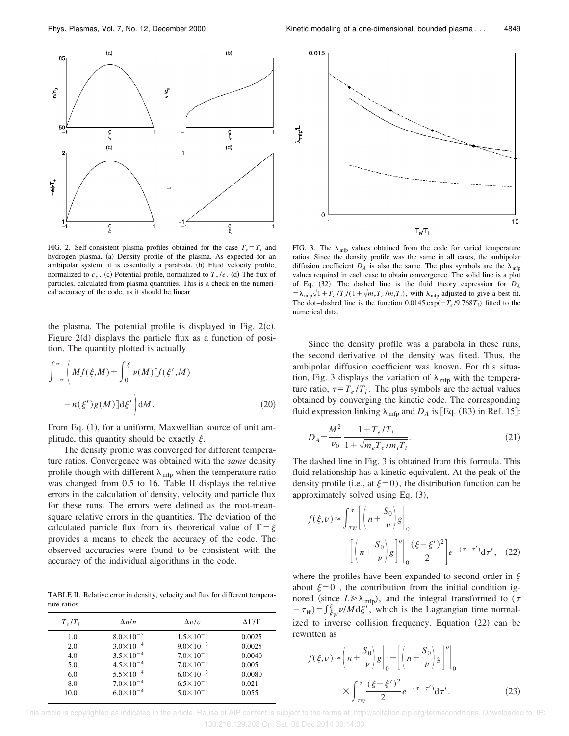

FIG. 2. Self-consistent plasma profiles obtained for the case  $T_e = T_i$  and hydrogen plasma. (a) Density profile of the plasma. As expected for an ambipolar system, it is essentially a parabola. (b) Fluid velocity profile, normalized to  $c_s$ . (c) Potential profile, normalized to  $T_e/e$ . (d) The flux of particles, calculated from plasma quantities. This is a check on the numerical accuracy of the code, as it should be linear.

the plasma. The potential profile is displayed in Fig.  $2(c)$ . Figure  $2(d)$  displays the particle flux as a function of position. The quantity plotted is actually

$$
\int_{-\infty}^{\infty} \left( Mf(\xi, M) + \int_{0}^{\xi} \nu(M) [f(\xi', M) - n(\xi')g(M)]d\xi' \right) dM.
$$
 (20)

From Eq.  $(1)$ , for a uniform, Maxwellian source of unit amplitude, this quantity should be exactly  $\xi$ .

The density profile was converged for different temperature ratios. Convergence was obtained with the *same* density profile though with different  $\lambda_{\text{mfp}}$  when the temperature ratio was changed from 0.5 to 16. Table II displays the relative errors in the calculation of density, velocity and particle flux for these runs. The errors were defined as the root-meansquare relative errors in the quantities. The deviation of the calculated particle flux from its theoretical value of  $\Gamma = \xi$ provides a means to check the accuracy of the code. The observed accuracies were found to be consistent with the accuracy of the individual algorithms in the code.

TABLE II. Relative error in density, velocity and flux for different temperature ratios.

| $T_e/T_i$  | $\Delta n/n$                                 | $\Delta v/v$                                 | $\Delta\Gamma/\Gamma$ |
|------------|----------------------------------------------|----------------------------------------------|-----------------------|
| 1.0        | $8.0 \times 10^{-5}$                         | $1.5 \times 10^{-3}$                         | 0.0025                |
| 2.0<br>4.0 | $3.0 \times 10^{-4}$<br>$3.5 \times 10^{-4}$ | $9.0 \times 10^{-3}$<br>$7.0 \times 10^{-3}$ | 0.0025<br>0.0040      |
| 5.0        | $4.5 \times 10^{-4}$                         | $7.0 \times 10^{-3}$                         | 0.005                 |
| 6.0<br>8.0 | $5.5 \times 10^{-4}$<br>$7.0 \times 10^{-4}$ | $6.0 \times 10^{-3}$<br>$6.5 \times 10^{-3}$ | 0.0080<br>0.021       |
| 10.0       | $6.0 \times 10^{-4}$                         | $5.0 \times 10^{-3}$                         | 0.055                 |



FIG. 3. The  $\lambda_{\text{mfp}}$  values obtained from the code for varied temperature ratios. Since the density profile was the same in all cases, the ambipolar diffusion coefficient  $D_A$  is also the same. The plus symbols are the  $\lambda_{\text{mfp}}$ values required in each case to obtain convergence. The solid line is a plot of Eq.  $(32)$ . The dashed line is the fluid theory expression for  $D_A$  $= \lambda_{\rm mfp} \sqrt{1 + T_e/T_i}/(1 + \sqrt{m_e T_e/m_i T_i})$ , with  $\lambda_{\rm mfp}$  adjusted to give a best fit. The dot–dashed line is the function 0.0145  $\exp(-T_e/9.768T_i)$  fitted to the numerical data.

Since the density profile was a parabola in these runs, the second derivative of the density was fixed. Thus, the ambipolar diffusion coefficient was known. For this situation, Fig. 3 displays the variation of  $\lambda_{\text{mfp}}$  with the temperature ratio,  $\tau = T_e / T_i$ . The plus symbols are the actual values obtained by converging the kinetic code. The corresponding fluid expression linking  $\lambda_{\text{mfp}}$  and  $D_A$  is [Eq. (B3) in Ref. 15]:

$$
D_A = \frac{\overline{M}^2}{\nu_0} \frac{1 + T_e / T_i}{1 + \sqrt{m_e T_e / m_i T_i}}.
$$
\n(21)

The dashed line in Fig. 3 is obtained from this formula. This fluid relationship has a kinetic equivalent. At the peak of the density profile (i.e., at  $\xi=0$ ), the distribution function can be approximately solved using Eq.  $(3)$ ,

$$
f(\xi, v) \approx \int_{\tau_W}^{\tau} \left[ \left( n + \frac{S_0}{\nu} \right) g \right]_0^{\tau}
$$

$$
+ \left[ \left( n + \frac{S_0}{\nu} \right) g \right]_0^{\tau} \left| \left( \frac{(\xi - \xi')^2}{2} \right) e^{-(\tau - \tau')} d\tau', \quad (22)
$$

where the profiles have been expanded to second order in  $\xi$ about  $\xi=0$ , the contribution from the initial condition ignored (since  $L \gg \lambda_{\text{mfp}}$ ), and the integral transformed to ( $\tau$  $-\tau_w$ )= $\int_{\xi_W}^{\xi} \nu/M d\xi'$ , which is the Lagrangian time normalized to inverse collision frequency. Equation  $(22)$  can be rewritten as

$$
f(\xi, v) \approx \left( n + \frac{S_0}{\nu} \right) g \left|_{0} + \left[ \left( n + \frac{S_0}{\nu} \right) g \right]'' \right|_{0}
$$

$$
\times \int_{\tau_W}^{\tau} \frac{(\xi - \xi')^2}{2} e^{-(\tau - \tau')} d\tau'. \tag{23}
$$

 This article is copyrighted as indicated in the article. Reuse of AIP content is subject to the terms at: http://scitation.aip.org/termsconditions. Downloaded to IP: 130.216.129.208 On: Sat, 06 Dec 2014 00:14:03